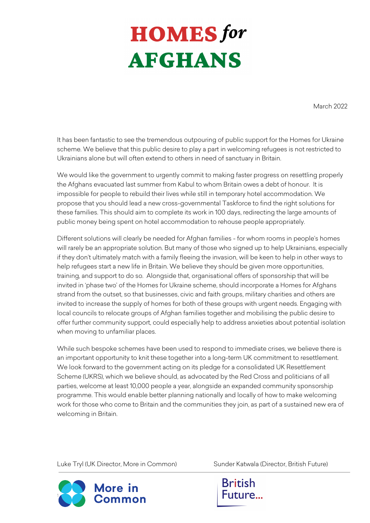## **HOMES** for **AFGHANS**

March 2022

It has been fantastic to see the tremendous outpouring of public support for the Homes for Ukraine scheme. We believe that this public desire to play a part in welcoming refugees is not restricted to Ukrainians alone but will often extend to others in need of sanctuary in Britain.

We would like the government to urgently commit to making faster progress on resettling properly the Afghans evacuated last summer from Kabul to whom Britain owes a debt of honour. It is impossible for people to rebuild their lives while still in temporary hotel accommodation. We propose that you should lead a new cross-governmental Taskforce to find the right solutions for these families. This should aim to complete its work in 100 days, redirecting the large amounts of public money being spent on hotel accommodation to rehouse people appropriately.

Different solutions will clearly be needed for Afghan families - for whom rooms in people's homes will rarely be an appropriate solution. But many of those who signed up to help Ukrainians, especially if they don't ultimately match with a family fleeing the invasion, will be keen to help in other ways to help refugees start a new life in Britain. We believe they should be given more opportunities, training, and support to do so. Alongside that, organisational offers of sponsorship that will be invited in 'phase two' of the Homes for Ukraine scheme, should incorporate a Homes for Afghans strand from the outset, so that businesses, civic and faith groups, military charities and others are invited to increase the supply of homes for both of these groups with urgent needs. Engaging with local councils to relocate groups of Afghan families together and mobilising the public desire to offer further community support, could especially help to address anxieties about potential isolation when moving to unfamiliar places.

While such bespoke schemes have been used to respond to immediate crises, we believe there is an important opportunity to knit these together into a long-term UK commitment to resettlement. We look forward to the government acting on its pledge for a consolidated UK Resettlement Scheme (UKRS), which we believe should, as advocated by the Red Cross and politicians of all parties, welcome at least 10,000 people a year, alongside an expanded community sponsorship programme. This would enable better planning nationally and locally of how to make welcoming work for those who come to Britain and the communities they join, as part of a sustained new era of welcoming in Britain.

Luke Tryl (UK Director, More in Common) Sunder Katwala (Director, British Future)



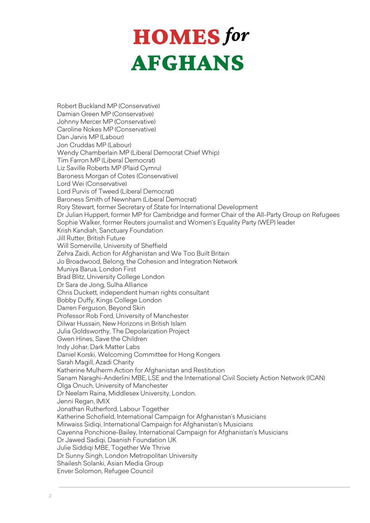## **HOMES** for **AFGHANS**

Robert Buckland MP (Conservative) Damian Green MP (Conservative) Johnny Mercer MP (Conservative) Caroline Nokes MP (Conservative) Dan Jarvis MP (Labour) Jon Cruddas MP (Labour) Wendy Chamberlain MP (Liberal Democrat Chief Whip) Tim Farron MP (Liberal Democrat) Liz Saville Roberts MP (Plaid Cymru) Baroness Morgan of Cotes (Conservative) Lord Wei (Conservative) Lord Purvis of Tweed (Liberal Democrat) Baroness Smith of Newnham (Liberal Democrat) Rory Stewart, former Secretary of State for International Development Dr Julian Huppert, former MP for Cambridge and former Chair of the All-Party Group on Refugees Sophie Walker, former Reuters journalist and Women's Equality Party (WEP) leader Krish Kandiah, Sanctuary Foundation Jill Rutter, British Future Will Somerville, University of Sheffield Zehra Zaidi, Action for Afghanistan and We Too Built Britain Jo Broadwood, Belong, the Cohesion and Integration Network Muniya Barua, London First Brad Blitz, University College London Dr Sara de Jong, Sulha Alliance Chris Duckett, independent human rights consultant Bobby Duffy, Kings College London Darren Ferguson, Beyond Skin Professor Rob Ford, University of Manchester Dilwar Hussain, New Horizons in British Islam Julia Goldsworthy, The Depolarization Project Gwen Hines, Save the Children Indy Johar, Dark Matter Labs Daniel Korski, Welcoming Committee for Hong Kongers Sarah Magill, Azadi Charity Katherine Mulherm Action for Afghanistan and Restitution Sanam Naraghi-Anderlini MBE, LSE and the International Civil Society Action Network (ICAN) Olga Onuch, University of Manchester Dr Neelam Raina, Middlesex University, London. Jenni Regan, IMIX Jonathan Rutherford, Labour Together Katherine Schofield, International Campaign for Afghanistan's Musicians Mirwaiss Sidiqi, International Campaign for Afghanistan's Musicians Cayenna Ponchione-Bailey, International Campaign for Afghanistan's Musicians Dr Jawed Sadiqi, Daanish Foundation UK Julie Siddiqi MBE, Together We Thrive Dr Sunny Singh, London Metropolitan University Shailesh Solanki, Asian Media Group Enver Solomon, Refugee Council